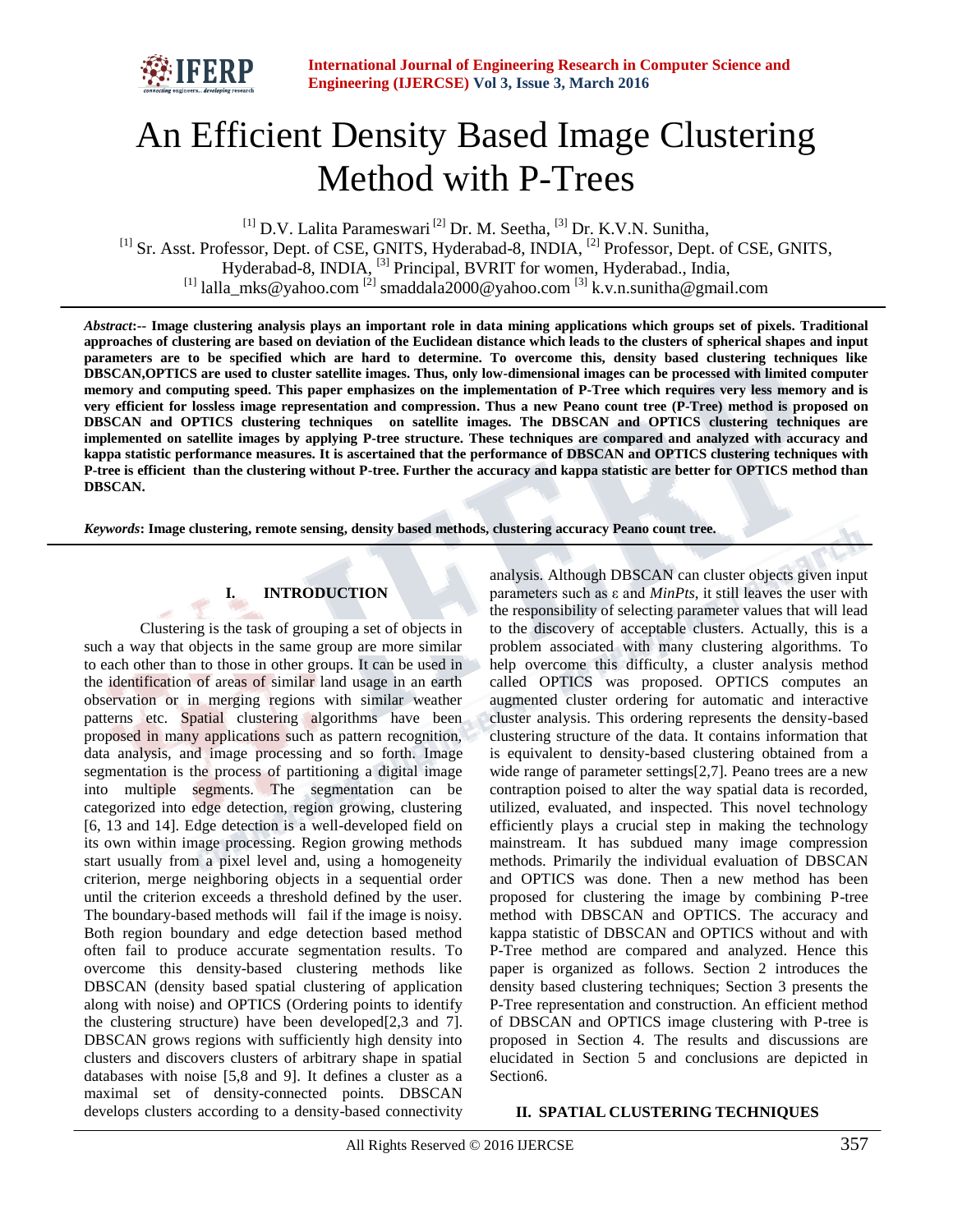

# An Efficient Density Based Image Clustering Method with P-Trees

 $^{[1]}$  D.V. Lalita Parameswari<sup>[2]</sup> Dr. M. Seetha, <sup>[3]</sup> Dr. K.V.N. Sunitha, <sup>[1]</sup> Sr. Asst. Professor, Dept. of CSE, GNITS, Hyderabad-8, INDIA, <sup>[2]</sup> Professor, Dept. of CSE, GNITS, Hyderabad-8, INDIA, <sup>[3]</sup> Principal, BVRIT for women, Hyderabad., India, <sup>[1]</sup> lalla\_mks@yahoo.com <sup>[2]</sup> smaddala2000@yahoo.com <sup>[3]</sup> k.v.n.sunitha@gmail.com

*Abstract***:-- Image clustering analysis plays an important role in data mining applications which groups set of pixels. Traditional approaches of clustering are based on deviation of the Euclidean distance which leads to the clusters of spherical shapes and input parameters are to be specified which are hard to determine. To overcome this, density based clustering techniques like DBSCAN,OPTICS are used to cluster satellite images. Thus, only low-dimensional images can be processed with limited computer memory and computing speed. This paper emphasizes on the implementation of P-Tree which requires very less memory and is very efficient for lossless image representation and compression. Thus a new Peano count tree (P-Tree) method is proposed on DBSCAN and OPTICS clustering techniques on satellite images. The DBSCAN and OPTICS clustering techniques are implemented on satellite images by applying P-tree structure. These techniques are compared and analyzed with accuracy and kappa statistic performance measures. It is ascertained that the performance of DBSCAN and OPTICS clustering techniques with P-tree is efficient than the clustering without P-tree. Further the accuracy and kappa statistic are better for OPTICS method than DBSCAN.**

*Keywords***: Image clustering, remote sensing, density based methods, clustering accuracy Peano count tree.**

# **I. INTRODUCTION**

Clustering is the task of grouping a set of objects in such a way that objects in the same group are more similar to each other than to those in other groups. It can be used in the identification of areas of similar land usage in an earth observation or in merging regions with similar weather patterns etc. Spatial clustering algorithms have been proposed in many applications such as pattern recognition, data analysis, and image processing and so forth. Image segmentation is the process of partitioning a digital image into multiple segments. The segmentation can be categorized into edge detection, region growing, clustering [6, 13 and 14]. Edge detection is a well-developed field on its own within image processing. Region growing methods start usually from a pixel level and, using a homogeneity criterion, merge neighboring objects in a sequential order until the criterion exceeds a threshold defined by the user. The boundary-based methods will fail if the image is noisy. Both region boundary and edge detection based method often fail to produce accurate segmentation results. To overcome this density-based clustering methods like DBSCAN (density based spatial clustering of application along with noise) and OPTICS (Ordering points to identify the clustering structure) have been developed[2,3 and 7]. DBSCAN grows regions with sufficiently high density into clusters and discovers clusters of arbitrary shape in spatial databases with noise [5,8 and 9]. It defines a cluster as a maximal set of density-connected points. DBSCAN develops clusters according to a density-based connectivity

analysis. Although DBSCAN can cluster objects given input parameters such as ε and *MinPts*, it still leaves the user with the responsibility of selecting parameter values that will lead to the discovery of acceptable clusters. Actually, this is a problem associated with many clustering algorithms. To help overcome this difficulty, a cluster analysis method called OPTICS was proposed. OPTICS computes an augmented cluster ordering for automatic and interactive cluster analysis. This ordering represents the density-based clustering structure of the data. It contains information that is equivalent to density-based clustering obtained from a wide range of parameter settings[2,7]. Peano trees are a new contraption poised to alter the way spatial data is recorded, utilized, evaluated, and inspected. This novel technology efficiently plays a crucial step in making the technology mainstream. It has subdued many image compression methods. Primarily the individual evaluation of DBSCAN and OPTICS was done. Then a new method has been proposed for clustering the image by combining P-tree method with DBSCAN and OPTICS. The accuracy and kappa statistic of DBSCAN and OPTICS without and with P-Tree method are compared and analyzed. Hence this paper is organized as follows. Section 2 introduces the density based clustering techniques; Section 3 presents the P-Tree representation and construction. An efficient method of DBSCAN and OPTICS image clustering with P-tree is proposed in Section 4. The results and discussions are elucidated in Section 5 and conclusions are depicted in Section6.

## **II. SPATIAL CLUSTERING TECHNIQUES**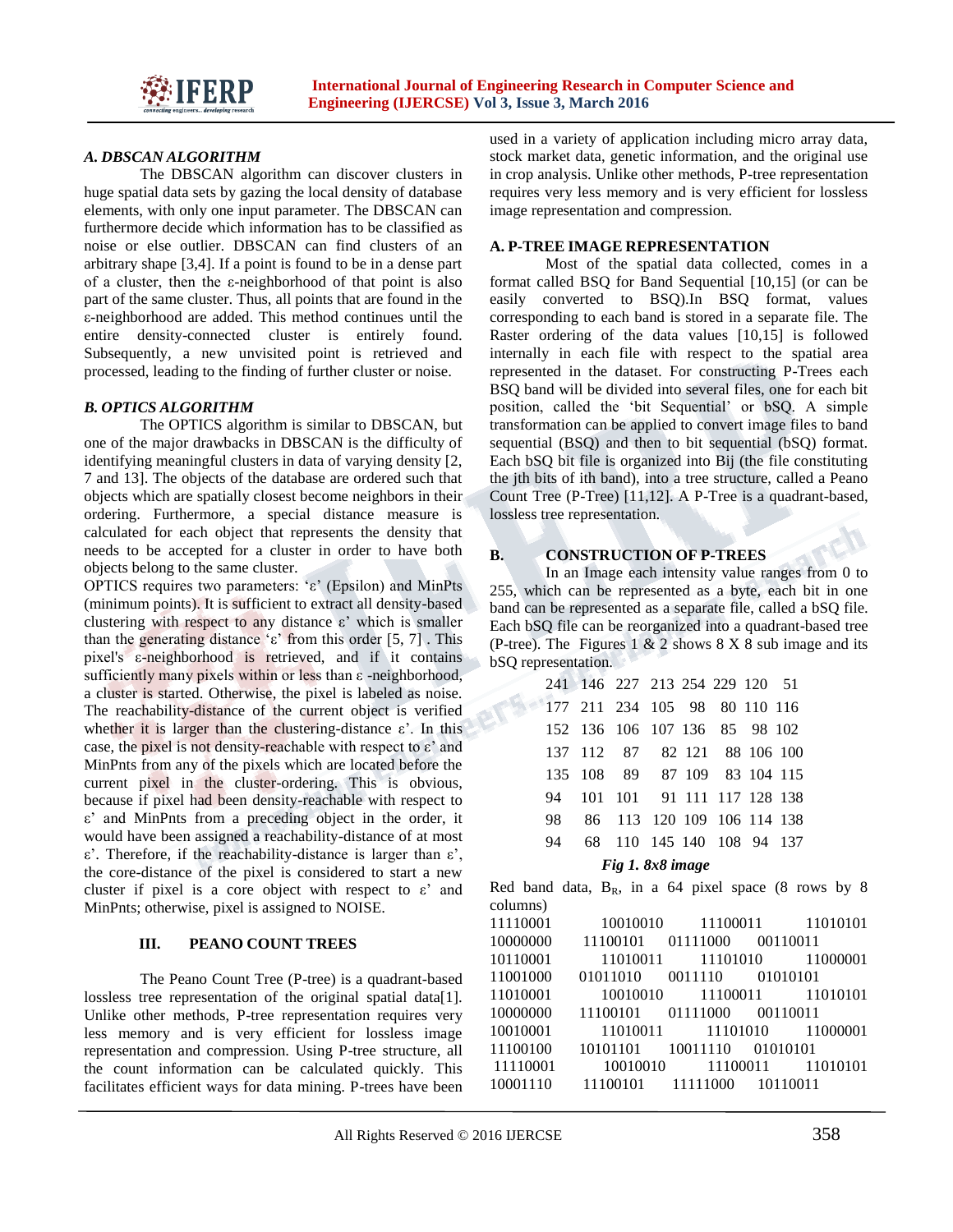

## *A. DBSCAN ALGORITHM*

The DBSCAN algorithm can discover clusters in huge spatial data sets by gazing the local density of database elements, with only one input parameter. The DBSCAN can furthermore decide which information has to be classified as noise or else outlier. DBSCAN can find clusters of an arbitrary shape [3,4]. If a point is found to be in a dense part of a cluster, then the ε-neighborhood of that point is also part of the same cluster. Thus, all points that are found in the ε-neighborhood are added. This method continues until the entire density-connected cluster is entirely found. Subsequently, a new unvisited point is retrieved and processed, leading to the finding of further cluster or noise.

#### *B. OPTICS ALGORITHM*

The OPTICS algorithm is similar to DBSCAN, but one of the major drawbacks in DBSCAN is the difficulty of identifying meaningful clusters in data of varying density [2, 7 and 13]. The objects of the database are ordered such that objects which are spatially closest become neighbors in their ordering. Furthermore, a special distance measure is calculated for each object that represents the density that needs to be accepted for a cluster in order to have both objects belong to the same cluster.

OPTICS requires two parameters: 'ε' (Epsilon) and MinPts (minimum points). It is sufficient to extract all density-based clustering with respect to any distance  $ε$ ' which is smaller than the generating distance 'ε' from this order [5, 7]. This pixel's ε-neighborhood is retrieved, and if it contains sufficiently many pixels within or less than ε -neighborhood, a cluster is started. Otherwise, the pixel is labeled as noise. The reachability-distance of the current object is verified whether it is larger than the clustering-distance  $\varepsilon'$ . In this case, the pixel is not density-reachable with respect to  $\varepsilon$ ' and MinPnts from any of the pixels which are located before the current pixel in the cluster-ordering. This is obvious, because if pixel had been density-reachable with respect to ε' and MinPnts from a preceding object in the order, it would have been assigned a reachability-distance of at most ε'. Therefore, if the reachability-distance is larger than ε', the core-distance of the pixel is considered to start a new cluster if pixel is a core object with respect to  $\varepsilon$ ' and MinPnts; otherwise, pixel is assigned to NOISE.

## **III. PEANO COUNT TREES**

The Peano Count Tree (P-tree) is a quadrant-based lossless tree representation of the original spatial data[1]. Unlike other methods, P-tree representation requires very less memory and is very efficient for lossless image representation and compression. Using P-tree structure, all the count information can be calculated quickly. This facilitates efficient ways for data mining. P-trees have been

used in a variety of application including micro array data, stock market data, genetic information, and the original use in crop analysis. Unlike other methods, P-tree representation requires very less memory and is very efficient for lossless image representation and compression.

#### **A. P-TREE IMAGE REPRESENTATION**

Most of the spatial data collected, comes in a format called BSQ for Band Sequential [10,15] (or can be easily converted to BSQ).In BSQ format, values corresponding to each band is stored in a separate file. The Raster ordering of the data values [10,15] is followed internally in each file with respect to the spatial area represented in the dataset. For constructing P-Trees each BSQ band will be divided into several files, one for each bit position, called the 'bit Sequential' or bSQ. A simple transformation can be applied to convert image files to band sequential (BSQ) and then to bit sequential (bSQ) format. Each bSQ bit file is organized into Bij (the file constituting the jth bits of ith band), into a tree structure, called a Peano Count Tree (P-Tree) [11,12]. A P-Tree is a quadrant-based, lossless tree representation.

# **B. CONSTRUCTION OF P-TREES**

In an Image each intensity value ranges from 0 to 255, which can be represented as a byte, each bit in one band can be represented as a separate file, called a bSQ file. Each bSQ file can be reorganized into a quadrant-based tree (P-tree). The Figures 1  $& 2$  shows 8  $\times$  8 sub image and its bSQ representation.

|     | 241 146 227 213 254 229 120 51 |                           |  |  |  |
|-----|--------------------------------|---------------------------|--|--|--|
|     | 177 211 234 105 98 80 110 116  |                           |  |  |  |
|     | 152 136 106 107 136 85 98 102  |                           |  |  |  |
|     | 137 112 87 82 121 88 106 100   |                           |  |  |  |
|     | 135 108 89 87 109 83 104 115   |                           |  |  |  |
|     | 94 101 101 91 111 117 128 138  |                           |  |  |  |
| 98. | 86 113 120 109 106 114 138     |                           |  |  |  |
| 94  |                                | 68 110 145 140 108 94 137 |  |  |  |

## *Fig 1. 8x8 image*

Red band data,  $B_R$ , in a 64 pixel space (8 rows by 8 columns)

| 11110001 |                                     | 10010010 11100011 11010101 |  |
|----------|-------------------------------------|----------------------------|--|
| 10000000 | 11100101 01111000 00110011          |                            |  |
| 10110001 |                                     | 11010011 11101010 11000001 |  |
| 11001000 | 01011010 0011110 01010101           |                            |  |
| 11010001 | 10010010 11100011 11010101          |                            |  |
| 10000000 | 11100101 01111000 00110011          |                            |  |
| 10010001 |                                     | 11010011 11101010 11000001 |  |
| 11100100 | 10101101 10011110 01010101          |                            |  |
|          | 11110001 10010010 11100011 11010101 |                            |  |
|          | 10001110 11100101 11111000 10110011 |                            |  |
|          |                                     |                            |  |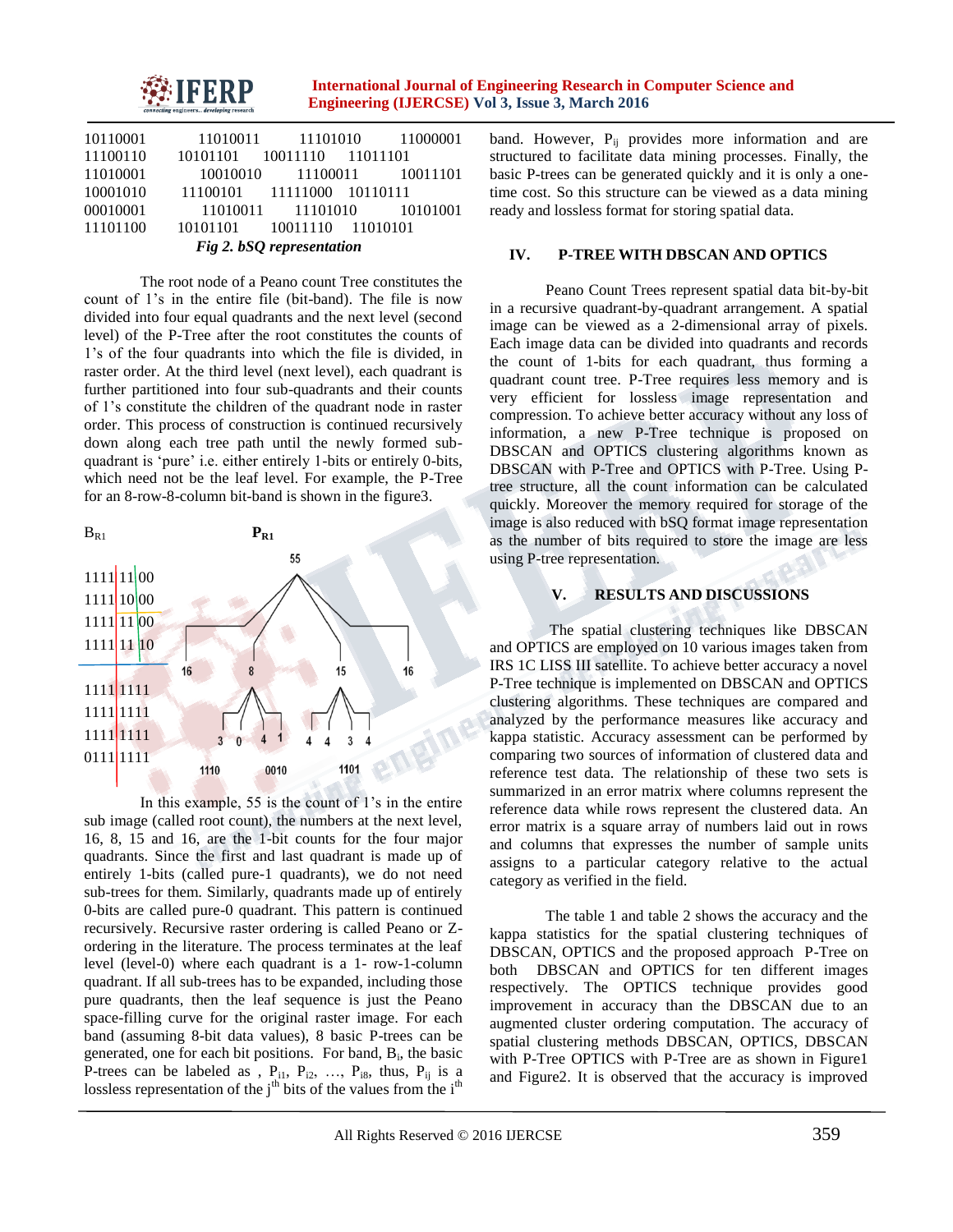

| 10110001                  |                            |  | 11010011 11101010 11000001 |  |  |  |
|---------------------------|----------------------------|--|----------------------------|--|--|--|
| 11100110                  | 10101101 10011110 11011101 |  |                            |  |  |  |
| 11010001                  |                            |  | 10010010 11100011 10011101 |  |  |  |
| 10001010                  | 11100101 11111000 10110111 |  |                            |  |  |  |
| 00010001                  |                            |  | 11010011 11101010 10101001 |  |  |  |
| 11101100                  | 10101101 10011110 11010101 |  |                            |  |  |  |
| Fig 2. bSQ representation |                            |  |                            |  |  |  |

The root node of a Peano count Tree constitutes the count of 1's in the entire file (bit-band). The file is now divided into four equal quadrants and the next level (second level) of the P-Tree after the root constitutes the counts of 1's of the four quadrants into which the file is divided, in raster order. At the third level (next level), each quadrant is further partitioned into four sub-quadrants and their counts of 1's constitute the children of the quadrant node in raster order. This process of construction is continued recursively down along each tree path until the newly formed subquadrant is 'pure' i.e. either entirely 1-bits or entirely 0-bits, which need not be the leaf level. For example, the P-Tree for an 8-row-8-column bit-band is shown in the figure3.



In this example, 55 is the count of 1's in the entire sub image (called root count), the numbers at the next level, 16, 8, 15 and 16, are the 1-bit counts for the four major quadrants. Since the first and last quadrant is made up of entirely 1-bits (called pure-1 quadrants), we do not need sub-trees for them. Similarly, quadrants made up of entirely 0-bits are called pure-0 quadrant. This pattern is continued recursively. Recursive raster ordering is called Peano or Zordering in the literature. The process terminates at the leaf level (level-0) where each quadrant is a 1- row-1-column quadrant. If all sub-trees has to be expanded, including those pure quadrants, then the leaf sequence is just the Peano space-filling curve for the original raster image. For each band (assuming 8-bit data values), 8 basic P-trees can be generated, one for each bit positions. For band, B<sub>i</sub>, the basic P-trees can be labeled as ,  $P_{i1}$ ,  $P_{i2}$ , ...,  $P_{i8}$ , thus,  $P_{ij}$  is a lossless representation of the j<sup>th</sup> bits of the values from the i<sup>th</sup>

band. However,  $P_{ij}$  provides more information and are structured to facilitate data mining processes. Finally, the basic P-trees can be generated quickly and it is only a onetime cost. So this structure can be viewed as a data mining ready and lossless format for storing spatial data.

#### **IV. P-TREE WITH DBSCAN AND OPTICS**

Peano Count Trees represent spatial data bit-by-bit in a recursive quadrant-by-quadrant arrangement. A spatial image can be viewed as a 2-dimensional array of pixels. Each image data can be divided into quadrants and records the count of 1-bits for each quadrant, thus forming a quadrant count tree. P-Tree requires less memory and is very efficient for lossless image representation and compression. To achieve better accuracy without any loss of information, a new P-Tree technique is proposed on DBSCAN and OPTICS clustering algorithms known as DBSCAN with P-Tree and OPTICS with P-Tree. Using Ptree structure, all the count information can be calculated quickly. Moreover the memory required for storage of the image is also reduced with bSQ format image representation as the number of bits required to store the image are less using P-tree representation.

#### **V. RESULTS AND DISCUSSIONS**

The spatial clustering techniques like DBSCAN and OPTICS are employed on 10 various images taken from IRS 1C LISS III satellite. To achieve better accuracy a novel P-Tree technique is implemented on DBSCAN and OPTICS clustering algorithms. These techniques are compared and analyzed by the performance measures like accuracy and kappa statistic. Accuracy assessment can be performed by comparing two sources of information of clustered data and reference test data. The relationship of these two sets is summarized in an error matrix where columns represent the reference data while rows represent the clustered data. An error matrix is a square array of numbers laid out in rows and columns that expresses the number of sample units assigns to a particular category relative to the actual category as verified in the field.

The table 1 and table 2 shows the accuracy and the kappa statistics for the spatial clustering techniques of DBSCAN, OPTICS and the proposed approach P-Tree on both DBSCAN and OPTICS for ten different images respectively. The OPTICS technique provides good improvement in accuracy than the DBSCAN due to an augmented cluster ordering computation. The accuracy of spatial clustering methods DBSCAN, OPTICS, DBSCAN with P-Tree OPTICS with P-Tree are as shown in Figure1 and Figure2. It is observed that the accuracy is improved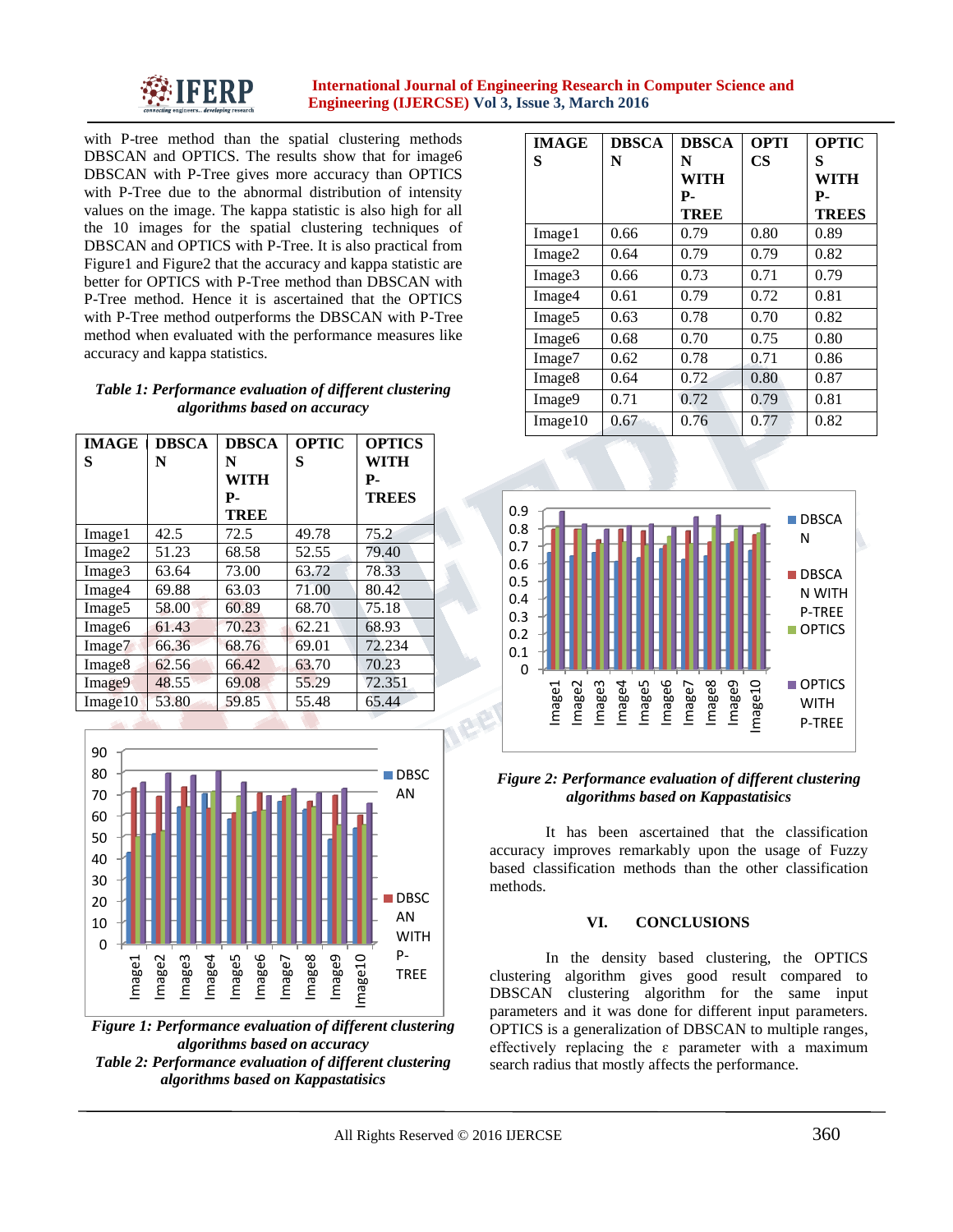

with P-tree method than the spatial clustering methods DBSCAN and OPTICS. The results show that for image6 DBSCAN with P-Tree gives more accuracy than OPTICS with P-Tree due to the abnormal distribution of intensity values on the image. The kappa statistic is also high for all the 10 images for the spatial clustering techniques of DBSCAN and OPTICS with P-Tree. It is also practical from Figure1 and Figure2 that the accuracy and kappa statistic are better for OPTICS with P-Tree method than DBSCAN with P-Tree method. Hence it is ascertained that the OPTICS with P-Tree method outperforms the DBSCAN with P-Tree method when evaluated with the performance measures like accuracy and kappa statistics.

## *Table 1: Performance evaluation of different clustering algorithms based on accuracy*

| <b>IMAGE</b>       | <b>DBSCA</b> | <b>DBSCA</b> | <b>OPTIC</b> | <b>OPTICS</b> |
|--------------------|--------------|--------------|--------------|---------------|
| S                  | N            | N            | S            | WITH          |
|                    |              | WITH         |              | Р.            |
|                    |              | Р.           |              | <b>TREES</b>  |
|                    |              | <b>TREE</b>  |              |               |
| Image1             | 42.5         | 72.5         | 49.78        | 75.2          |
| Image2             | 51.23        | 68.58        | 52.55        | 79.40         |
| Image3             | 63.64        | 73.00        | 63.72        | 78.33         |
| Image4             | 69.88        | 63.03        | 71.00        | 80.42         |
| Image <sub>5</sub> | 58.00        | 60.89        | 68.70        | 75.18         |
| Image6             | 61.43        | 70.23        | 62.21        | 68.93         |
| Image7             | 66.36        | 68.76        | 69.01        | 72.234        |
| Image <sub>8</sub> | 62.56        | 66.42        | 63.70        | 70.23         |
| Image9             | 48.55        | 69.08        | 55.29        | 72.351        |
| Image10            | 53.80        | 59.85        | 55.48        | 65.44         |



*Figure 1: Performance evaluation of different clustering algorithms based on accuracy Table 2: Performance evaluation of different clustering algorithms based on Kappastatisics*

| <b>IMAGE</b>       | <b>DBSCA</b> | <b>DBSCA</b> | <b>OPTI</b> | <b>OPTIC</b> |
|--------------------|--------------|--------------|-------------|--------------|
| S                  | N            | N            | CS          | S            |
|                    |              | WITH         |             | WITH         |
|                    |              | Р-           |             | Р.           |
|                    |              | TREE         |             | <b>TREES</b> |
| Image1             | 0.66         | 0.79         | 0.80        | 0.89         |
| Image2             | 0.64         | 0.79         | 0.79        | 0.82         |
| Image3             | 0.66         | 0.73         | 0.71        | 0.79         |
| Image4             | 0.61         | 0.79         | 0.72        | 0.81         |
| Image <sub>5</sub> | 0.63         | 0.78         | 0.70        | 0.82         |
| Image <sub>6</sub> | 0.68         | 0.70         | 0.75        | 0.80         |
| Image7             | 0.62         | 0.78         | 0.71        | 0.86         |
| Image8             | 0.64         | 0.72         | 0.80        | 0.87         |
| Image9             | 0.71         | 0.72         | 0.79        | 0.81         |
| Image10            | 0.67         | 0.76         | 0.77        | 0.82         |



# *Figure 2: Performance evaluation of different clustering algorithms based on Kappastatisics*

It has been ascertained that the classification accuracy improves remarkably upon the usage of Fuzzy based classification methods than the other classification methods.

## **VI. CONCLUSIONS**

In the density based clustering, the OPTICS clustering algorithm gives good result compared to DBSCAN clustering algorithm for the same input parameters and it was done for different input parameters. OPTICS is a generalization of DBSCAN to multiple ranges, effectively replacing the  $\varepsilon$  parameter with a maximum search radius that mostly affects the performance.